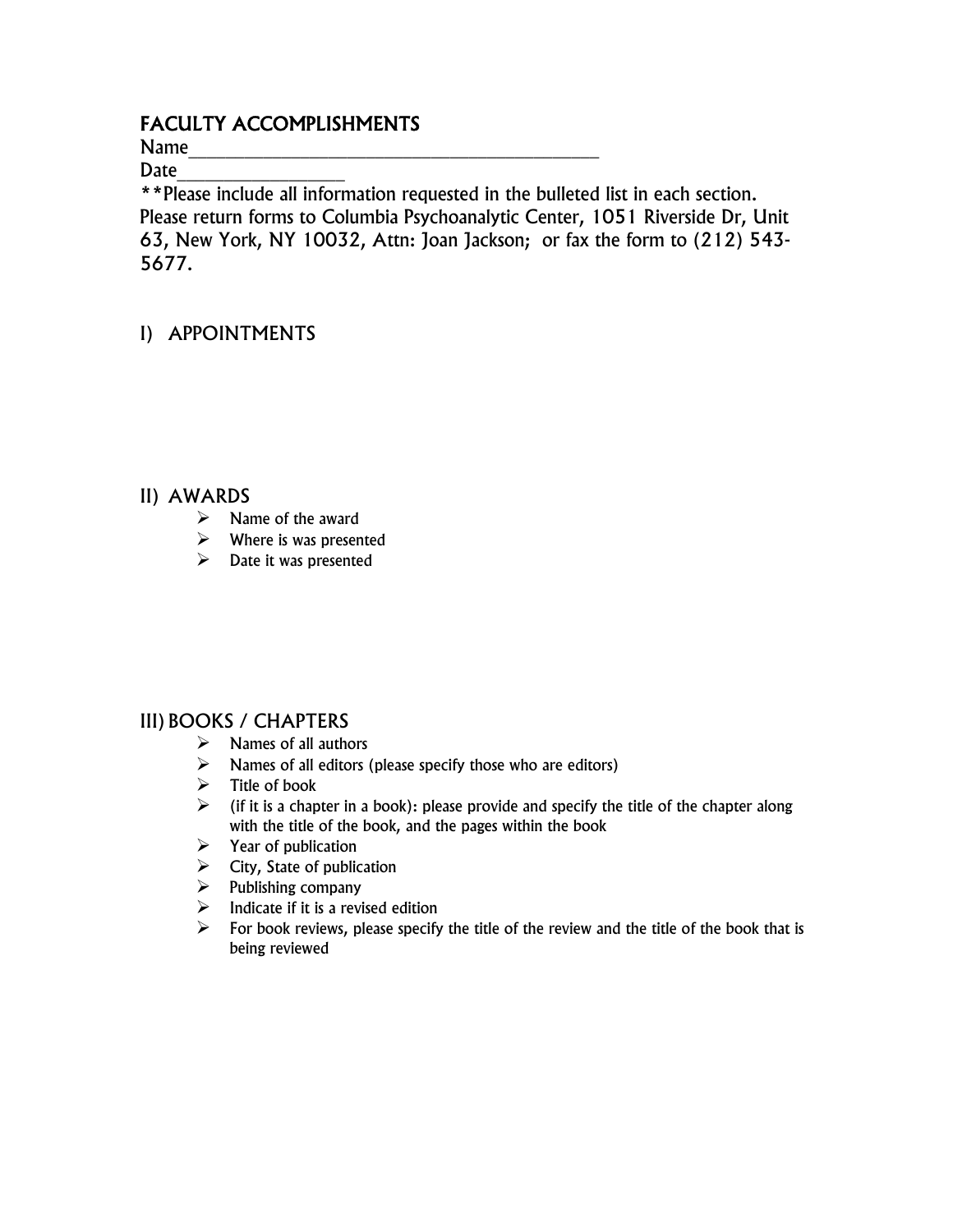# FACULTY ACCOMPLISHMENTS

Name\_\_\_\_\_\_\_\_\_\_\_\_\_\_\_\_\_\_\_\_\_\_\_\_\_\_\_\_\_\_\_\_\_\_\_\_\_\_\_\_\_\_\_\_

Date

\*\*Please include all information requested in the bulleted list in each section. Please return forms to Columbia Psychoanalytic Center, 1051 Riverside Dr, Unit 63, New York, NY 10032, Attn: Joan Jackson; or fax the form to (212) 543- 5677.

# I) APPOINTMENTS

#### II) AWARDS

- $\triangleright$  Name of the award
- $\triangleright$  Where is was presented
- $\triangleright$  Date it was presented

### III) BOOKS / CHAPTERS

- $\triangleright$  Names of all authors
- $\triangleright$  Names of all editors (please specify those who are editors)
- $\triangleright$  Title of book
- $\triangleright$  (if it is a chapter in a book): please provide and specify the title of the chapter along with the title of the book, and the pages within the book
- $\triangleright$  Year of publication
- $\triangleright$  City, State of publication
- $\triangleright$  Publishing company
- $\triangleright$  Indicate if it is a revised edition
- $\triangleright$  For book reviews, please specify the title of the review and the title of the book that is being reviewed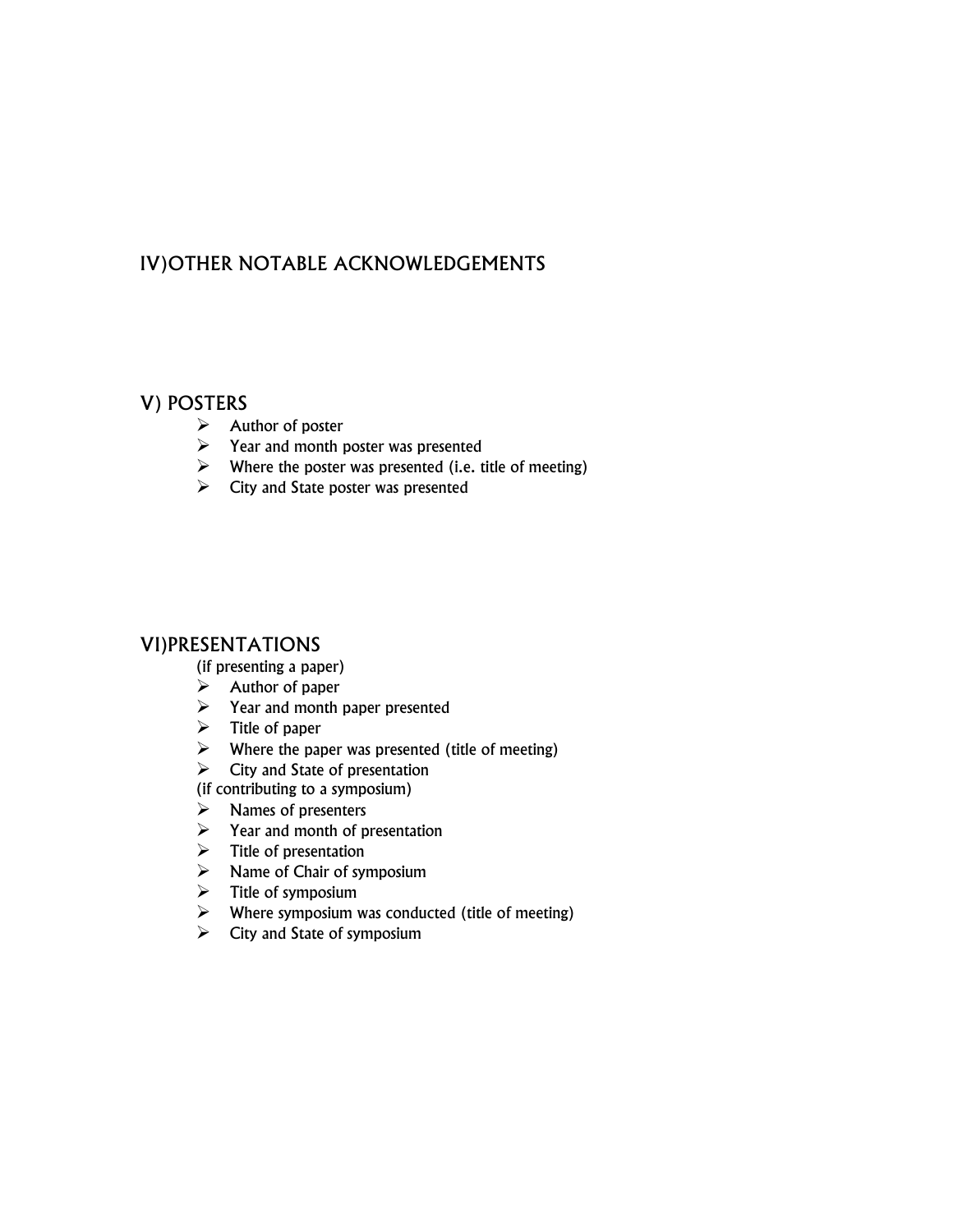## IV)OTHER NOTABLE ACKNOWLEDGEMENTS

#### V) POSTERS

- $\triangleright$  Author of poster
- $\triangleright$  Year and month poster was presented
- $\triangleright$  Where the poster was presented (i.e. title of meeting)
- $\triangleright$  City and State poster was presented

#### VI)PRESENTATIONS

(if presenting a paper)

- $\triangleright$  Author of paper
- $\triangleright$  Year and month paper presented
- $\triangleright$  Title of paper
- $\triangleright$  Where the paper was presented (title of meeting)
- $\triangleright$  City and State of presentation
- (if contributing to a symposium)
- $\triangleright$  Names of presenters
- $\triangleright$  Year and month of presentation
- $\triangleright$  Title of presentation
- $\triangleright$  Name of Chair of symposium
- $\triangleright$  Title of symposium
- $\triangleright$  Where symposium was conducted (title of meeting)
- $\triangleright$  City and State of symposium